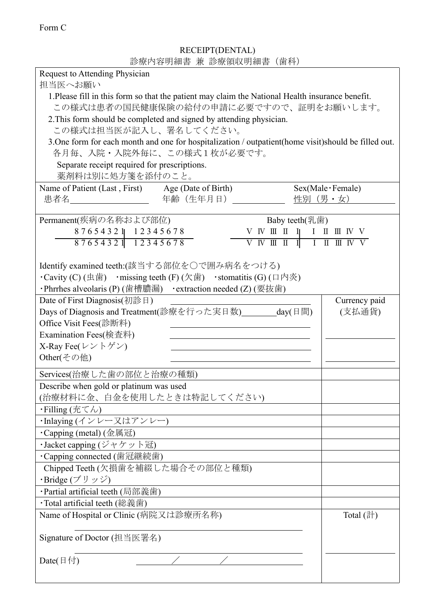診療内容明細書 兼 診療領収明細書(歯科) Request to Attending Physician 担当医へお願い 1.Please fill in this form so that the patient may claim the National Health insurance benefit. この様式は患者の国民健康保険の給付の申請に必要ですので、証明をお願いします。 2.This form should be completed and signed by attending physician. この様式は担当医が記入し、署名してください。 3.One form for each month and one for hospitalization / outpatient(home visit)should be filled out. 各月毎、入院・入院外毎に、この様式1枚が必要です。 Separate receipt required for prescriptions. 薬剤料は別に処方箋を添付のこと。 Name of Patient (Last, First) Age (Date of Birth) Sex(Male·Female) 患者名 \_\_\_\_\_\_\_\_\_\_\_\_\_\_\_\_\_\_年齢(生年月日) \_\_\_\_\_\_\_\_\_\_\_\_ 性別(男·女) Permanent(疾病の名称および部位) Baby teeth(乳歯) 8 7 6 5 4 3 2 1 1 2 3 4 5 6 7 8 Ⅴ Ⅳ Ⅲ Ⅱ Ⅰ Ⅰ Ⅱ Ⅲ Ⅳ Ⅴ 8 7 6 5 4 3 2 1 1 2 3 4 5 6 7 8 V W H I I I I I II I I V V Identify examined teeth:(該当する部位を〇で囲み病名をつける) • Cavity (C) (虫歯) • missing teeth (F) (欠歯) • stomatitis (G) (口内炎) ・Phrrhes alveolaris (P) (歯槽膿漏) ・extraction needed (Z) (要抜歯) Date of First Diagnosis(初診日) Days of Diagnosis and Treatment(診療を行った実日数) day(日間) Office Visit Fees(診断料) Examination Fees(検査料) X-Ray Fee(レントゲン) Other(その他) Currency paid (支払通貨) Services(治療した歯の部位と治療の種類) Describe when gold or platinum was used (治療材料に金、白金を使用したときは特記してください) ・Filling (充てん) ・Inlaying (インレー又はアンレー) ・Capping (metal) (金属冠) ・Jacket capping (ジャケット冠) ・Capping connected (歯冠継続歯) Chipped Teeth (欠損歯を補綴した場合その部位と種類) ・Bridge (ブリッジ) ・Partial artificial teeth (局部義歯) ・Total artificial teeth (総義歯) Name of Hospital or Clinic (病院又は診療所名称) Signature of Doctor (担当医署名) Date( $\boxplus$ 付)  $\qquad \qquad \qquad$ Total (計)

RECEIPT(DENTAL)